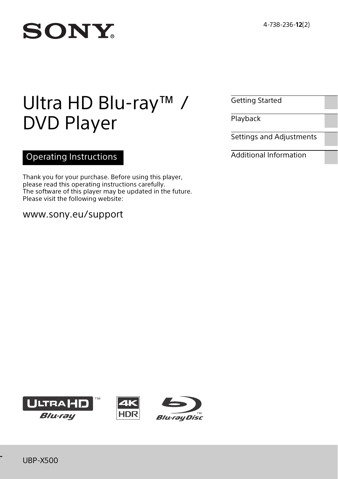# **SONY**

# Ultra HD Blu-ray™ / DVD Player

# Operating Instructions

Thank you for your purchase. Before using this player, please read this operating instructions carefully. The software of this player may be updated in the future. Please visit the following website:

# www.sony.eu/support

[Getting Started](#page-5-0)

[Playback](#page-13-0)

[Settings and Adjustments](#page-16-0)

[Additional Information](#page-21-0)





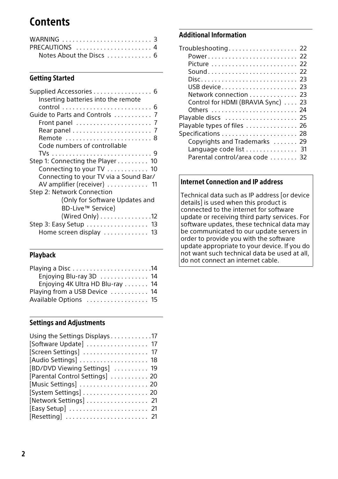# **Contents**

| WARNING $\ldots \ldots \ldots \ldots \ldots \ldots \ldots$ |  |
|------------------------------------------------------------|--|
| PRECAUTIONS  4                                             |  |
|                                                            |  |

# [Getting Started](#page-5-2)

| Supplied Accessories 6                 |
|----------------------------------------|
| Inserting batteries into the remote    |
|                                        |
| Guide to Parts and Controls  7         |
|                                        |
|                                        |
| Remote  8                              |
| Code numbers of controllable           |
|                                        |
| Step 1: Connecting the Player 10       |
| Connecting to your TV 10               |
| Connecting to your TV via a Sound Bar/ |
| AV amplifier (receiver)  11            |
| Step 2: Network Connection             |
| (Only for Software Updates and         |
| BD-Live™ Service)                      |
| (Wired Only) 12                        |
| Step 3: Easy Setup 13                  |
| Home screen display  13                |
|                                        |

# [Playback](#page-13-1)

| Enjoying Blu-ray 3D  14         |
|---------------------------------|
| Enjoying 4K Ultra HD Blu-ray 14 |
| Playing from a USB Device  14   |
| Available Options  15           |
|                                 |

# [Settings and Adjustments](#page-16-1)

| Using the Settings Displays 17  |  |
|---------------------------------|--|
| [Software Update] 17            |  |
| [Screen Settings]  17           |  |
| [Audio Settings]  18            |  |
| [BD/DVD Viewing Settings]  19   |  |
| [Parental Control Settings]  20 |  |
|                                 |  |
| [System Settings] 20            |  |
| [Network Settings] 21           |  |
|                                 |  |
| [Resetting]  21                 |  |

# [Additional Information](#page-21-1)

| $Troubleshoothing \ldots \ldots \ldots \ldots \ldots \ldots 22$ |
|-----------------------------------------------------------------|
|                                                                 |
|                                                                 |
| Sound 22                                                        |
|                                                                 |
|                                                                 |
| Network connection 23                                           |
| Control for HDMI (BRAVIA Sync)  23                              |
| Others  24                                                      |
| Playable discs  25                                              |
| Playable types of files  26                                     |
| Specifications  28                                              |
| Copyrights and Trademarks  29                                   |
| Language code list 31                                           |
| Parental control/area code  32                                  |

# Internet Connection and IP address

Technical data such as IP address [or device details] is used when this product is connected to the internet for software update or receiving third party services. For software updates, these technical data may be communicated to our update servers in order to provide you with the software update appropriate to your device. If you do not want such technical data be used at all, do not connect an internet cable.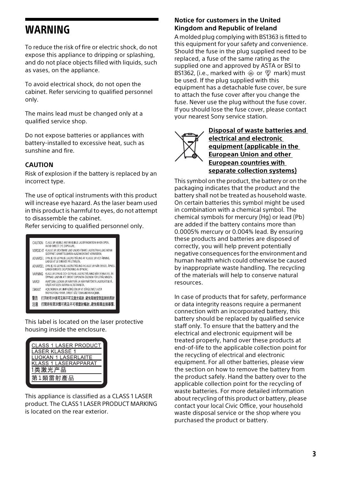# <span id="page-2-0"></span>WARNING

To reduce the risk of fire or electric shock, do not expose this appliance to dripping or splashing, and do not place objects filled with liquids, such as vases, on the appliance.

To avoid electrical shock, do not open the cabinet. Refer servicing to qualified personnel only.

The mains lead must be changed only at a qualified service shop.

Do not expose batteries or appliances with battery-installed to excessive heat, such as sunshine and fire.

#### **CAUTION**

Risk of explosion if the battery is replaced by an incorrect type.

The use of optical instruments with this product will increase eye hazard. As the laser beam used in this product is harmful to eyes, do not attempt to disassemble the cabinet.

Refer servicing to qualified personnel only.



This label is located on the laser protective housing inside the enclosure.

| <b>CLASS 1 LASER PRODUCT</b> |
|------------------------------|
| <b>LASER KLASSE 1</b>        |
| <b>LUOKAN 1 LASERLAITE</b>   |
| <b>KLASS 1 LASERAPPARAT</b>  |
| 1类激光产品                       |
| 第1類雷射產品                      |
|                              |

This appliance is classified as a CLASS 1 LASER product. The CLASS 1 LASER PRODUCT MARKING is located on the rear exterior.

#### **Notice for customers in the United Kingdom and Republic of Ireland**

A molded plug complying with BS1363 is fitted to this equipment for your safety and convenience. Should the fuse in the plug supplied need to be replaced, a fuse of the same rating as the supplied one and approved by ASTA or BSI to BS1362, (i.e., marked with  $\hat{\otimes}$  or  $\hat{\heartsuit}$  mark) must be used. If the plug supplied with this equipment has a detachable fuse cover, be sure to attach the fuse cover after you change the fuse. Never use the plug without the fuse cover. If you should lose the fuse cover, please contact your nearest Sony service station.



**Disposal of waste batteries and electrical and electronic equipment (applicable in the European Union and other European countries with separate collection systems)**

This symbol on the product, the battery or on the packaging indicates that the product and the battery shall not be treated as household waste. On certain batteries this symbol might be used in combination with a chemical symbol. The chemical symbols for mercury (Hg) or lead (Pb) are added if the battery contains more than 0.0005% mercury or 0.004% lead. By ensuring these products and batteries are disposed of correctly, you will help prevent potentially negative consequences for the environment and human health which could otherwise be caused by inappropriate waste handling. The recycling of the materials will help to conserve natural resources.

In case of products that for safety, performance or data integrity reasons require a permanent connection with an incorporated battery, this battery should be replaced by qualified service staff only. To ensure that the battery and the electrical and electronic equipment will be treated properly, hand over these products at end-of-life to the applicable collection point for the recycling of electrical and electronic equipment. For all other batteries, please view the section on how to remove the battery from the product safely. Hand the battery over to the applicable collection point for the recycling of waste batteries. For more detailed information about recycling of this product or battery, please contact your local Civic Office, your household waste disposal service or the shop where you purchased the product or battery.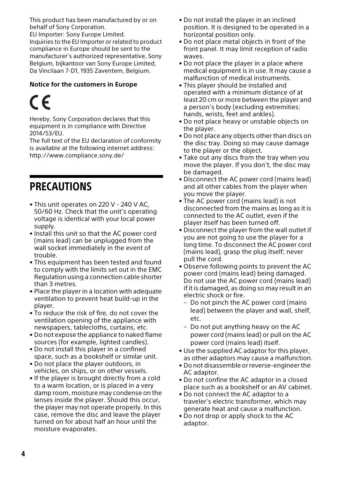This product has been manufactured by or on behalf of Sony Corporation.

EU Importer: Sony Europe Limited. Inquiries to the EU Importer or related to product compliance in Europe should be sent to the manufacturer's authorized representative, Sony Belgium, bijkantoor van Sony Europe Limited, Da Vincilaan 7-D1, 1935 Zaventem, Belgium.

### **Notice for the customers in Europe**

# $\epsilon$

Hereby, Sony Corporation declares that this equipment is in compliance with Directive 2014/53/EU.

The full text of the EU declaration of conformity is available at the following internet address: http://www.compliance.sony.de/

# <span id="page-3-0"></span>**PRECAUTIONS**

- This unit operates on 220 V 240 V AC, 50/60 Hz. Check that the unit's operating voltage is identical with your local power supply.
- Install this unit so that the AC power cord (mains lead) can be unplugged from the wall socket immediately in the event of trouble.
- This equipment has been tested and found to comply with the limits set out in the EMC Regulation using a connection cable shorter than 3 metres.
- Place the player in a location with adequate ventilation to prevent heat build-up in the player.
- To reduce the risk of fire, do not cover the ventilation opening of the appliance with newspapers, tablecloths, curtains, etc.
- Do not expose the appliance to naked flame sources (for example, lighted candles).
- Do not install this player in a confined space, such as a bookshelf or similar unit.
- Do not place the player outdoors, in vehicles, on ships, or on other vessels.
- <span id="page-3-1"></span>• If the player is brought directly from a cold to a warm location, or is placed in a very damp room, moisture may condense on the lenses inside the player. Should this occur, the player may not operate properly. In this case, remove the disc and leave the player turned on for about half an hour until the moisture evaporates.
- Do not install the player in an inclined position. It is designed to be operated in a horizontal position only.
- Do not place metal objects in front of the front panel. It may limit reception of radio waves.
- Do not place the player in a place where medical equipment is in use. It may cause a malfunction of medical instruments.
- This player should be installed and operated with a minimum distance of at least 20 cm or more between the player and a person's body (excluding extremities: hands, wrists, feet and ankles).
- Do not place heavy or unstable objects on the player.
- Do not place any objects other than discs on the disc tray. Doing so may cause damage to the player or the object.
- Take out any discs from the tray when you move the player. If you don't, the disc may be damaged.
- Disconnect the AC power cord (mains lead) and all other cables from the player when you move the player.
- The AC power cord (mains lead) is not disconnected from the mains as long as it is connected to the AC outlet, even if the player itself has been turned off.
- Disconnect the player from the wall outlet if you are not going to use the player for a long time. To disconnect the AC power cord (mains lead), grasp the plug itself; never pull the cord.
- Observe following points to prevent the AC power cord (mains lead) being damaged. Do not use the AC power cord (mains lead) if it is damaged, as doing so may result in an electric shock or fire.
	- Do not pinch the AC power cord (mains lead) between the player and wall, shelf, etc.
	- Do not put anything heavy on the AC power cord (mains lead) or pull on the AC power cord (mains lead) itself.
- Use the supplied AC adaptor for this player, as other adaptors may cause a malfunction.
- Do not disassemble or reverse-engineer the AC adaptor.
- Do not confine the AC adaptor in a closed place such as a bookshelf or an AV cabinet.
- Do not connect the AC adaptor to a traveler's electric transformer, which may generate heat and cause a malfunction.
- Do not drop or apply shock to the AC adaptor.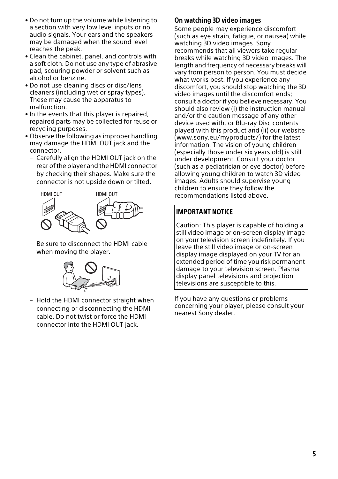- Do not turn up the volume while listening to a section with very low level inputs or no audio signals. Your ears and the speakers may be damaged when the sound level reaches the peak.
- Clean the cabinet, panel, and controls with a soft cloth. Do not use any type of abrasive pad, scouring powder or solvent such as alcohol or benzine.
- Do not use cleaning discs or disc/lens cleaners (including wet or spray types). These may cause the apparatus to malfunction.
- In the events that this player is repaired, repaired parts may be collected for reuse or recycling purposes.
- Observe the following as improper handling may damage the HDMI OUT jack and the connector.
	- Carefully align the HDMI OUT jack on the rear of the player and the HDMI connector by checking their shapes. Make sure the connector is not upside down or tilted.



– Be sure to disconnect the HDMI cable when moving the player.



– Hold the HDMI connector straight when connecting or disconnecting the HDMI cable. Do not twist or force the HDMI connector into the HDMI OUT jack.

# On watching 3D video images

Some people may experience discomfort (such as eye strain, fatigue, or nausea) while watching 3D video images. Sony recommends that all viewers take regular breaks while watching 3D video images. The length and frequency of necessary breaks will vary from person to person. You must decide what works best. If you experience any discomfort, you should stop watching the 3D video images until the discomfort ends; consult a doctor if you believe necessary. You should also review (i) the instruction manual and/or the caution message of any other device used with, or Blu-ray Disc contents played with this product and (ii) our website (www.sony.eu/myproducts/) for the latest information. The vision of young children (especially those under six years old) is still under development. Consult your doctor (such as a pediatrician or eye doctor) before allowing young children to watch 3D video images. Adults should supervise young children to ensure they follow the recommendations listed above.

# IMPORTANT NOTICE

Caution: This player is capable of holding a still video image or on-screen display image on your television screen indefinitely. If you leave the still video image or on-screen display image displayed on your TV for an extended period of time you risk permanent damage to your television screen. Plasma display panel televisions and projection televisions are susceptible to this.

If you have any questions or problems concerning your player, please consult your nearest Sony dealer.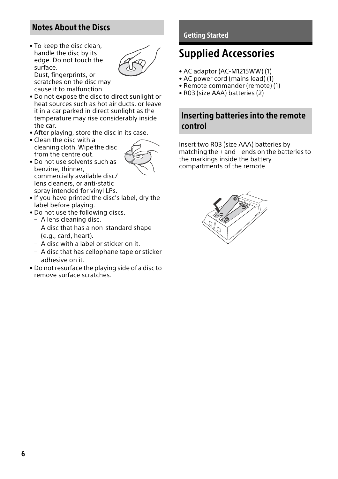# <span id="page-5-1"></span>Notes About the Discs

• To keep the disc clean, handle the disc by its edge. Do not touch the surface. Dust, fingerprints, or



scratches on the disc may cause it to malfunction.

- Do not expose the disc to direct sunlight or heat sources such as hot air ducts, or leave it in a car parked in direct sunlight as the temperature may rise considerably inside the car.
- After playing, store the disc in its case.
- Clean the disc with a cleaning cloth. Wipe the disc from the centre out.



- Do not use solvents such as benzine, thinner, commercially available disc/ lens cleaners, or anti-static spray intended for vinyl LPs.
- If you have printed the disc's label, dry the label before playing.
- Do not use the following discs.
	- A lens cleaning disc.
	- A disc that has a non-standard shape (e.g., card, heart).
	- A disc with a label or sticker on it.
	- A disc that has cellophane tape or sticker adhesive on it.
- Do not resurface the playing side of a disc to remove surface scratches.

# <span id="page-5-2"></span><span id="page-5-0"></span>Getting Started

# <span id="page-5-3"></span>Supplied Accessories

- AC adaptor (AC-M1215WW) (1)
- AC power cord (mains lead) (1)
- Remote commander (remote) (1)
- R03 (size AAA) batteries (2)

# <span id="page-5-4"></span>Inserting batteries into the remote control

Insert two R03 (size AAA) batteries by matching the + and – ends on the batteries to the markings inside the battery compartments of the remote.

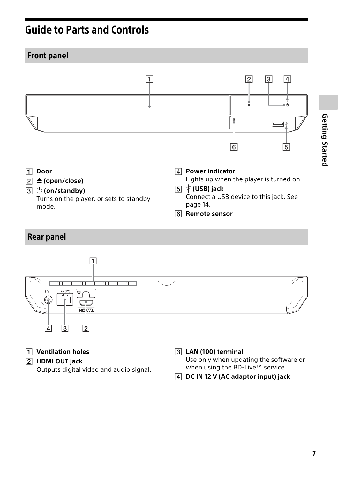# <span id="page-6-0"></span>Guide to Parts and Controls

# <span id="page-6-1"></span>Front panel



<span id="page-6-2"></span>

- **Ventilation holes**
- **HDMI OUT jack**

Outputs digital video and audio signal.

**LAN (100) terminal**

Use only when updating the software or when using the BD-Live™ service.

**DC IN 12 V (AC adaptor input) jack**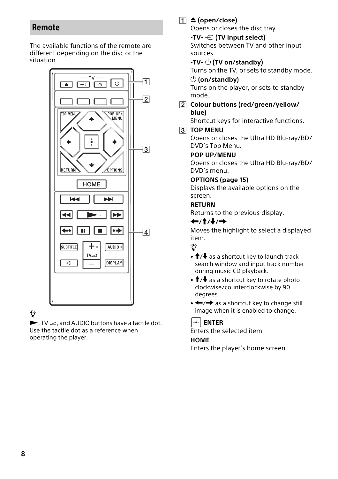# <span id="page-7-0"></span>Remote

The available functions of the remote are different depending on the disc or the situation.



# Ö

 $\blacktriangleright$ , TV  $\triangle$ , and AUDIO buttons have a tactile dot. Use the tactile dot as a reference when operating the player.

# **(open/close)**

Opens or closes the disc tray.

**-TV- (TV input select)** Switches between TV and other input sources.

# **-TV- (TV on/standby)**

Turns on the TV, or sets to standby mode.

## **(on/standby)**

Turns on the player, or sets to standby mode.

 **Colour buttons (red/green/yellow/ blue)**

Shortcut keys for interactive functions.

# **TOP MENU**

Opens or closes the Ultra HD Blu-ray/BD/ DVD's Top Menu.

### **POP UP/MENU**

Opens or closes the Ultra HD Blu-ray/BD/ DVD's menu.

## **OPTIONS (page [15\)](#page-14-1)**

Displays the available options on the screen.

# **RETURN**

Returns to the previous display.

# **←/↑/↓/→**

Moves the highlight to select a displayed item.

# Ö

- $\uparrow$  / $\downarrow$  as a shortcut key to launch track search window and input track number during music CD playback.
- $\dagger$ / $\downarrow$  as a shortcut key to rotate photo clockwise/counterclockwise by 90 degrees.
- $\bullet \leftarrow \rightarrow$  as a shortcut key to change still image when it is enabled to change.

#### $\left| \frac{1}{2} \right|$  **ENTER**

Enters the selected item.

### **HOME**

Enters the player's home screen.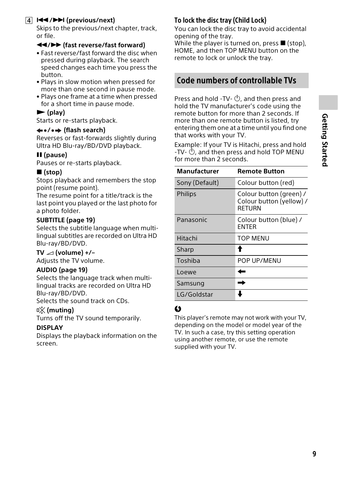# **/(previous/next)**

Skips to the previous/next chapter, track, or file.

### **/ (fast reverse/fast forward)**

- Fast reverse/fast forward the disc when pressed during playback. The search speed changes each time you press the button.
- Plays in slow motion when pressed for more than one second in pause mode.
- Plays one frame at a time when pressed for a short time in pause mode.

# **(play)**

Starts or re-starts playback.

#### **/ (flash search)**

Reverses or fast-forwards slightly during Ultra HD Blu-ray/BD/DVD playback.

#### **(pause)**

Pauses or re-starts playback.

### **(stop)**

Stops playback and remembers the stop point (resume point).

The resume point for a title/track is the last point you played or the last photo for a photo folder.

#### **SUBTITLE (page [19](#page-18-2))**

Selects the subtitle language when multilingual subtitles are recorded on Ultra HD Blu-ray/BD/DVD.

#### $TV \angle$  (volume) +/-

Adjusts the TV volume.

### **AUDIO (page [19](#page-18-1))**

Selects the language track when multilingual tracks are recorded on Ultra HD Blu-ray/BD/DVD.

Selects the sound track on CDs.

#### **(muting)**

Turns off the TV sound temporarily.

#### **DISPLAY**

Displays the playback information on the screen.

# <span id="page-8-1"></span>To lock the disc tray (Child Lock)

You can lock the disc tray to avoid accidental opening of the tray.

While the player is turned on, press  $\blacksquare$  (stop), HOME, and then TOP MENU button on the remote to lock or unlock the tray.

# <span id="page-8-0"></span>Code numbers of controllable TVs

Press and hold -TV-  $\bigcirc$ , and then press and hold the TV manufacturer's code using the remote button for more than 2 seconds. If more than one remote button is listed, try entering them one at a time until you find one that works with your TV.

Example: If your TV is Hitachi, press and hold -TV-  $\bigcirc$ , and then press and hold TOP MENU for more than 2 seconds.

| Manufacturer   | <b>Remote Button</b>                                          |
|----------------|---------------------------------------------------------------|
| Sony (Default) | Colour button (red)                                           |
| <b>Philips</b> | Colour button (green) /<br>Colour button (yellow) /<br>RFTURN |
| Panasonic      | Colour button (blue) /<br><b>FNTFR</b>                        |
| Hitachi        | TOP MENU                                                      |
| Sharp          |                                                               |
| Toshiba        | POP UP/MENU                                                   |
| Loewe          |                                                               |
| Samsung        |                                                               |
| LG/Goldstar    |                                                               |

# $\boldsymbol{\omega}$

This player's remote may not work with your TV, depending on the model or model year of the TV. In such a case, try this setting operation using another remote, or use the remote supplied with your TV.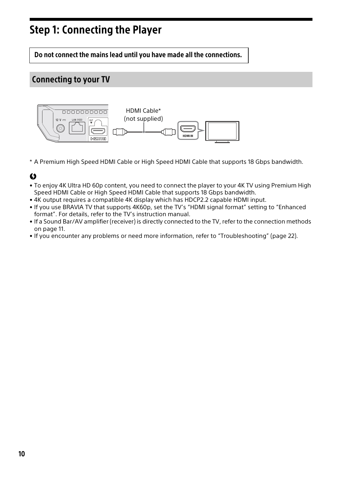# <span id="page-9-2"></span><span id="page-9-0"></span>Step 1: Connecting the Player

Do not connect the mains lead until you have made all the connections.

# <span id="page-9-1"></span>Connecting to your TV



\* A Premium High Speed HDMI Cable or High Speed HDMI Cable that supports 18 Gbps bandwidth.

# $\boldsymbol{\omega}$

- To enjoy 4K Ultra HD 60p content, you need to connect the player to your 4K TV using Premium High Speed HDMI Cable or High Speed HDMI Cable that supports 18 Gbps bandwidth.
- 4K output requires a compatible 4K display which has HDCP2.2 capable HDMI input.
- If you use BRAVIA TV that supports 4K60p, set the TV's "HDMI signal format" setting to "Enhanced format". For details, refer to the TV's instruction manual.
- If a Sound Bar/AV amplifier (receiver) is directly connected to the TV, refer to the connection methods on page [11.](#page-10-0)
- If you encounter any problems or need more information, refer to ["Troubleshooting](#page-21-6)" (page [22\)](#page-21-6).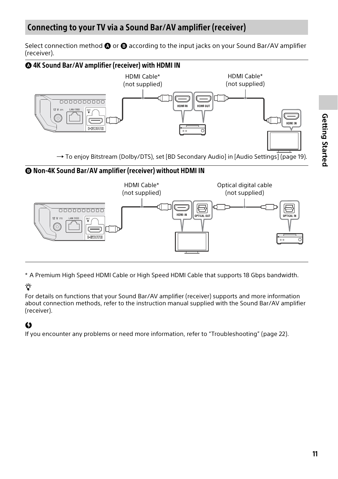<span id="page-10-0"></span>Select connection method  $\bigcirc$  or  $\bigcirc$  according to the input jacks on your Sound Bar/AV amplifier (receiver).





\* A Premium High Speed HDMI Cable or High Speed HDMI Cable that supports 18 Gbps bandwidth.

# Ÿ

For details on functions that your Sound Bar/AV amplifier (receiver) supports and more information about connection methods, refer to the instruction manual supplied with the Sound Bar/AV amplifier (receiver).

# $\mathbf{G}$

If you encounter any problems or need more information, refer to "[Troubleshooting"](#page-21-6) (page [22\)](#page-21-6).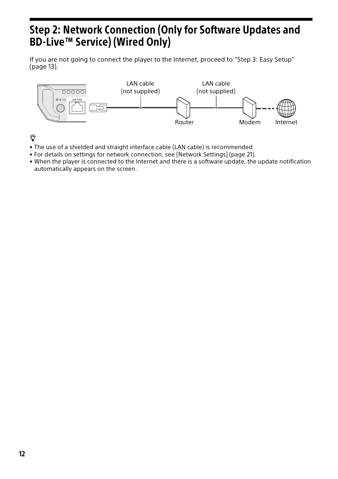# <span id="page-11-1"></span><span id="page-11-0"></span>Step 2: Network Connection (Only for Software Updates and BD-Live™ Service) (Wired Only)

If you are not going to connect the player to the Internet, proceed to "[Step 3: Easy Setup"](#page-12-0) (page [13\)](#page-12-0).



Ϋ

- The use of a shielded and straight interface cable (LAN cable) is recommended.
- For details on settings for network connection, see [\[Network Settings\]](#page-20-3) (page [21\)](#page-20-3).
- When the player is connected to the Internet and there is a software update, the update notification automatically appears on the screen.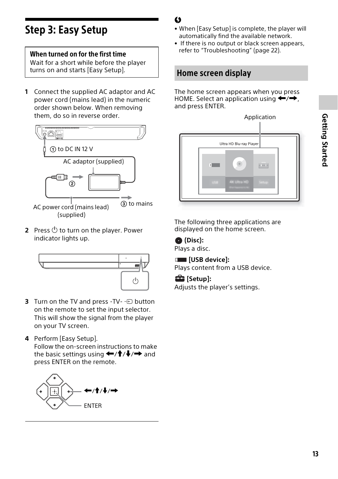# <span id="page-12-2"></span><span id="page-12-0"></span>Step 3: Easy Setup

# When turned on for the first time

Wait for a short while before the player turns on and starts [Easy Setup].

**1** Connect the supplied AC adaptor and AC power cord (mains lead) in the numeric order shown below. When removing them, do so in reverse order.



**2** Press  $\bigcirc$  to turn on the player. Power indicator lights up.



- **3** Turn on the TV and press -TV- $\bigoplus$  button on the remote to set the input selector. This will show the signal from the player on your TV screen.
- **4** Perform [Easy Setup]. Follow the on-screen instructions to make the basic settings using  $\leftarrow$ / $\uparrow$ / $\downarrow$ / $\rightarrow$  and press ENTER on the remote.



# $\mathbf{A}$

- When [Easy Setup] is complete, the player will automatically find the available network.
- If there is no output or black screen appears, refer to "[Troubleshooting"](#page-21-6) (page [22\)](#page-21-6).

# <span id="page-12-1"></span>Home screen display

The home screen appears when you press HOME. Select an application using  $\leftarrow$ / $\rightarrow$ , and press ENTER.



The following three applications are displayed on the home screen.

 **(Disc):** Plays a disc.

**EXECUTE:** [USB device]:

Plays content from a USB device.

 **[Setup]:**

Adjusts the player's settings.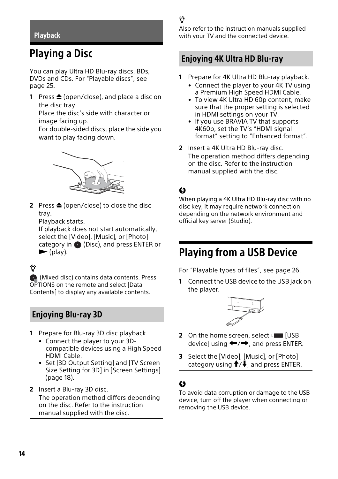#### <span id="page-13-1"></span><span id="page-13-0"></span>**Playback**

# <span id="page-13-2"></span>Playing a Disc

You can play Ultra HD Blu-ray discs, BDs, DVDs and CDs. For "[Playable discs](#page-24-1)", see page [25](#page-24-1).

**1** Press **≜** (open/close), and place a disc on the disc tray.

Place the disc's side with character or image facing up.

For double-sided discs, place the side you want to play facing down.



**2** Press **≜** (open/close) to close the disc tray.

Playback starts.

If playback does not start automatically, select the [Video], [Music], or [Photo] category in  $\bullet$  (Disc), and press ENTER or  $\blacktriangleright$  (play).

Ϋ

(Mixed disc) contains data contents. Press OPTIONS on the remote and select [Data Contents] to display any available contents.

# <span id="page-13-3"></span>Enjoying Blu-ray 3D

- **1** Prepare for Blu-ray 3D disc playback.
	- Connect the player to your 3Dcompatible devices using a High Speed HDMI Cable.
	- Set [3D Output Setting] and [TV Screen Size Setting for 3D] in [Screen Settings] (page [18\)](#page-17-1).
- **2** Insert a Blu-ray 3D disc. The operation method differs depending on the disc. Refer to the instruction manual supplied with the disc.

# Ϋ

Also refer to the instruction manuals supplied with your TV and the connected device.

# <span id="page-13-4"></span>Enjoying 4K Ultra HD Blu-ray

- **1** Prepare for 4K Ultra HD Blu-ray playback.
	- Connect the player to your 4K TV using a Premium High Speed HDMI Cable.
	- To view 4K Ultra HD 60p content, make sure that the proper setting is selected in HDMI settings on your TV.
	- If you use BRAVIA TV that supports 4K60p, set the TV's "HDMI signal format" setting to "Enhanced format".
- **2** Insert a 4K Ultra HD Blu-ray disc. The operation method differs depending on the disc. Refer to the instruction manual supplied with the disc.

# $\boldsymbol{c}$

When playing a 4K Ultra HD Blu-ray disc with no disc key, it may require network connection depending on the network environment and official key server (Studio).

# <span id="page-13-5"></span>Playing from a USB Device

For "[Playable types of files"](#page-25-1), see page [26.](#page-25-1)

<span id="page-13-6"></span>**1** Connect the USB device to the USB jack on the player.



- **2** On the home screen, select **[USB** device] using  $\leftarrow$ / $\rightarrow$ , and press ENTER.
- **3** Select the [Video], [Music], or [Photo] category using  $\biguparrow/\biguparrow$ , and press ENTER.

# $\boldsymbol{c}$

To avoid data corruption or damage to the USB device, turn off the player when connecting or removing the USB device.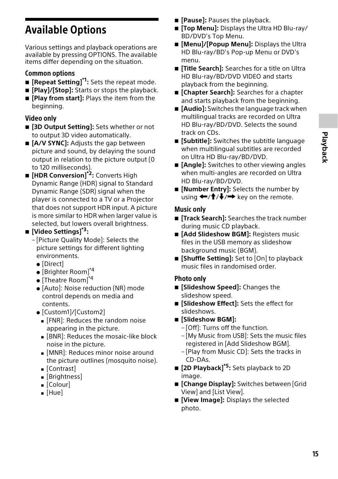# <span id="page-14-1"></span><span id="page-14-0"></span>Available Options

Various settings and playback operations are available by pressing OPTIONS. The available items differ depending on the situation.

# Common options

- **E** [Repeat Setting]<sup>\*1</sup>: Sets the repeat mode.
- $\blacksquare$  [Play]/[Stop]: Starts or stops the playback.
- $\blacksquare$  [Play from start]: Plays the item from the beginning.

# Video only

- $\blacksquare$  **[3D Output Setting]:** Sets whether or not to output 3D video automatically.
- $\blacksquare$  [A/V SYNC]: Adjusts the gap between picture and sound, by delaying the sound output in relation to the picture output (0 to 120 milliseconds).
- **[HDR Conversion]\*2:** Converts High Dynamic Range (HDR) signal to Standard Dynamic Range (SDR) signal when the player is connected to a TV or a Projector that does not support HDR input. A picture is more similar to HDR when larger value is selected, but lowers overall brightness.

# **[Video Settings]\*3:**

- [Picture Quality Mode]: Selects the picture settings for different lighting environments.
	- [Direct]
	- $\bullet$  [Brighter Room]<sup>\*4</sup>
	- $\bullet$  [Theatre Room]<sup>\*4</sup>
	- [Auto]: Noise reduction (NR) mode control depends on media and contents.
	- [Custom1]/[Custom2]
		- **FING**: Reduces the random noise appearing in the picture.
		- **.** [BNR]: Reduces the mosaic-like block noise in the picture.
		- **.** [MNR]: Reduces minor noise around the picture outlines (mosquito noise).
		- Gontrast
		- **E** [Brightness]
		- $\blacksquare$  [Colour]
		- $\blacksquare$  [Hue]
- **F** [Pause]: Pauses the playback.
- **[If Top Menul:** Displays the Ultra HD Blu-ray/ BD/DVD's Top Menu.
- **[Menu]/[Popup Menu]:** Displays the Ultra HD Blu-ray/BD's Pop-up Menu or DVD's menu.
- $\blacksquare$  [Title Search]: Searches for a title on Ultra HD Blu-ray/BD/DVD VIDEO and starts playback from the beginning.
- **E** [Chapter Search]: Searches for a chapter and starts playback from the beginning.
- **E** [Audio]: Switches the language track when multilingual tracks are recorded on Ultra HD Blu-ray/BD/DVD. Selects the sound track on CDs.
- $\blacksquare$  [Subtitle]: Switches the subtitle language when multilingual subtitles are recorded on Ultra HD Blu-ray/BD/DVD.
- $\blacksquare$  [Angle]: Switches to other viewing angles when multi-angles are recorded on Ultra HD Blu-ray/BD/DVD.
- **E** [Number Entry]: Selects the number by using  $\leftarrow$ / $\uparrow$ / $\downarrow$ / $\rightarrow$  key on the remote.

# Music only

- **[Track Search]:** Searches the track number during music CD playback.
- **E** [Add Slideshow BGM]: Registers music files in the USB memory as slideshow background music (BGM).
- **E** [Shuffle Setting]: Set to [On] to playback music files in randomised order.

# Photo only

- $\blacksquare$  [Slideshow Speed]: Changes the slideshow speed.
- $\blacksquare$  [Slideshow Effect]: Sets the effect for slideshows.
- **[Slideshow BGM]:**
	- [Off]: Turns off the function.
	- [My Music from USB]: Sets the music files registered in [Add Slideshow BGM].
	- [Play from Music CD]: Sets the tracks in CD-DAs.
- **[2D Playback]\*5:** Sets playback to 2D image.
- **E** [Change Display]: Switches between [Grid] View] and [List View].
- **[View Image]:** Displays the selected photo.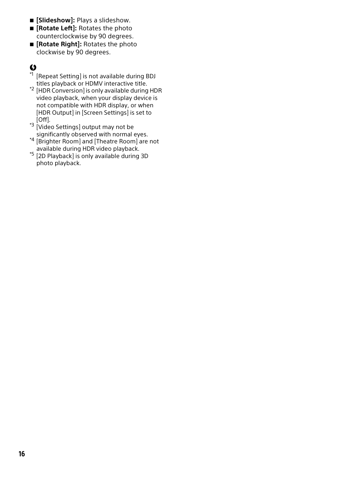- **E** [Slideshow]: Plays a slideshow.
- $\blacksquare$  **[Rotate Left]:** Rotates the photo counterclockwise by 90 degrees.
- $\blacksquare$  [Rotate Right]: Rotates the photo clockwise by 90 degrees.

# Ø

- \*1 [Repeat Setting] is not available during BDJ
- titles playback or HDMV interactive title. \*2 [HDR Conversion] is only available during HDR video playback, when your display device is not compatible with HDR display, or when [HDR Output] in [Screen Settings] is set to
- to the low.<br><sup>\*3</sup> [Video Settings] output may not be<br>significantly observed with normal eyes.
- <sup>\*4</sup> [Brighter Room] and [Theatre Room] are not<br>available during HDR video playback.
- <sup>\*5</sup> [2D Playback] is only available during 3D photo playback.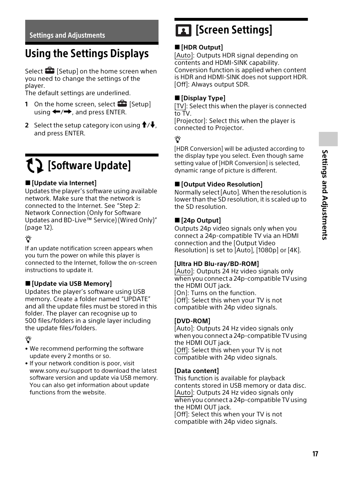# <span id="page-16-2"></span><span id="page-16-1"></span><span id="page-16-0"></span>Using the Settings Displays

Select  $\bigoplus$  [Setup] on the home screen when you need to change the settings of the player.

The default settings are underlined.

- **1** On the home screen, select **[Setup**] using  $\leftarrow$ / $\rightarrow$ , and press ENTER.
- **2** Select the setup category icon using  $\uparrow/\downarrow$ , and press ENTER.

# <span id="page-16-7"></span><span id="page-16-3"></span>[Software Update]

### **[Update via Internet]**

Updates the player's software using available network. Make sure that the network is connected to the Internet. See "[Step 2:](#page-11-1)  [Network Connection \(Only for Software](#page-11-1)  [Updates and BD-Live™ Service\) \(Wired Only\)](#page-11-1)" (page [12\)](#page-11-1).

# ٣ö

If an update notification screen appears when you turn the power on while this player is connected to the Internet, follow the on-screen instructions to update it.

# **[Update via USB Memory]**

Updates the player's software using USB memory. Create a folder named "UPDATE" and all the update files must be stored in this folder. The player can recognise up to 500 files/folders in a single layer including the update files/folders.

# ゙゙゙゙

- We recommend performing the software update every 2 months or so.
- If your network condition is poor, visit www.sony.eu/support to download the latest software version and update via USB memory. You can also get information about update functions from the website.

# <span id="page-16-4"></span>**13** [Screen Settings]

# **[HDR Output]**

[Auto]: Outputs HDR signal depending on contents and HDMI-SINK capability. Conversion function is applied when content is HDR and HDMI-SINK does not support HDR. [Off]: Always output SDR.

## **[Display Type]**

[TV]: Select this when the player is connected to TV.

[Projector]: Select this when the player is connected to Projector.

# ٣Ö

[HDR Conversion] will be adjusted according to the display type you select. Even though same setting value of [HDR Conversion] is selected, dynamic range of picture is different.

### <span id="page-16-5"></span>**[Output Video Resolution]**

Normally select [Auto]. When the resolution is lower than the SD resolution, it is scaled up to the SD resolution.

# <span id="page-16-6"></span>**[24p Output]**

Outputs 24p video signals only when you connect a 24p-compatible TV via an HDMI connection and the [Output Video Resolution] is set to [Auto], [1080p] or [4K].

### **[Ultra HD Blu-ray/BD-ROM]**

[Auto]: Outputs 24 Hz video signals only when you connect a 24p-compatible TV using the HDMI OUT jack. [On]: Turns on the function. [Off]: Select this when your TV is not compatible with 24p video signals.

### **[DVD-ROM]**

[Auto]: Outputs 24 Hz video signals only when you connect a 24p-compatible TV using the HDMI OUT jack. [Off]: Select this when your TV is not compatible with 24p video signals.

### **[Data content]**

This function is available for playback contents stored in USB memory or data disc. [Auto]: Outputs 24 Hz video signals only when you connect a 24p-compatible TV using the HDMI OUT jack. [Off]: Select this when your TV is not compatible with 24p video signals.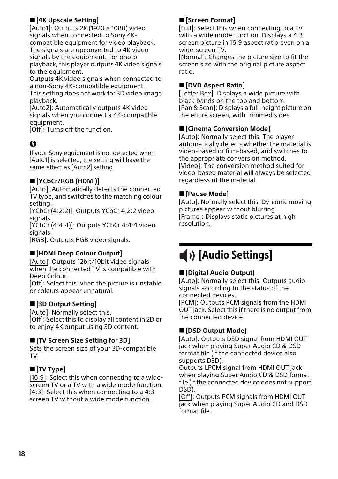# **[4K Upscale Setting]**

[Auto1]: Outputs 2K (1920 × 1080) video signals when connected to Sony 4Kcompatible equipment for video playback. The signals are upconverted to 4K video signals by the equipment. For photo playback, this player outputs 4K video signals to the equipment.

Outputs 4K video signals when connected to a non-Sony 4K-compatible equipment. This setting does not work for 3D video image playback.

[Auto2]: Automatically outputs 4K video signals when you connect a 4K-compatible equipment.

[Off]: Turns off the function.

# $\mathbf{G}$

If your Sony equipment is not detected when [Auto1] is selected, the setting will have the same effect as [Auto2] setting.

# **[YCbCr/RGB (HDMI)]**

[Auto]: Automatically detects the connected TV type, and switches to the matching colour setting.

[YCbCr (4:2:2)]: Outputs YCbCr 4:2:2 video signals.

[YCbCr (4:4:4)]: Outputs YCbCr 4:4:4 video signals.

[RGB]: Outputs RGB video signals.

### **[HDMI Deep Colour Output]**

[Auto]: Outputs 12bit/10bit video signals when the connected TV is compatible with Deep Colour.

[Off]: Select this when the picture is unstable or colours appear unnatural.

### <span id="page-17-1"></span>**[3D Output Setting]**

[Auto]: Normally select this. [Off]: Select this to display all content in 2D or to enjoy 4K output using 3D content.

### **[TV Screen Size Setting for 3D]**

Sets the screen size of your 3D-compatible TV.

# **[TV Type]**

[16:9]: Select this when connecting to a widescreen TV or a TV with a wide mode function. [4:3]: Select this when connecting to a 4:3 screen TV without a wide mode function.

# **[Screen Format]**

[Full]: Select this when connecting to a TV with a wide mode function. Displays a 4:3 screen picture in 16:9 aspect ratio even on a wide-screen TV.

[Normal]: Changes the picture size to fit the screen size with the original picture aspect ratio.

## **[DVD Aspect Ratio]**

[Letter Box]: Displays a wide picture with black bands on the top and bottom. [Pan & Scan]: Displays a full-height picture on the entire screen, with trimmed sides.

## **[Cinema Conversion Mode]**

[Auto]: Normally select this. The player automatically detects whether the material is video-based or film-based, and switches to the appropriate conversion method. [Video]: The conversion method suited for video-based material will always be selected regardless of the material.

## **[Pause Mode]**

[Auto]: Normally select this. Dynamic moving pictures appear without blurring. [Frame]: Displays static pictures at high resolution.

# <span id="page-17-2"></span><span id="page-17-0"></span> $\blacktriangleright$  [Audio Settings]

### **[Digital Audio Output]**

[Auto]: Normally select this. Outputs audio signals according to the status of the connected devices.

[PCM]: Outputs PCM signals from the HDMI OUT jack. Select this if there is no output from the connected device.

# **[DSD Output Mode]**

[Auto]: Outputs DSD signal from HDMI OUT jack when playing Super Audio CD & DSD format file (if the connected device also supports DSD).

Outputs LPCM signal from HDMI OUT jack when playing Super Audio CD & DSD format file (if the connected device does not support DSD).

[Off]: Outputs PCM signals from HDMI OUT jack when playing Super Audio CD and DSD format file.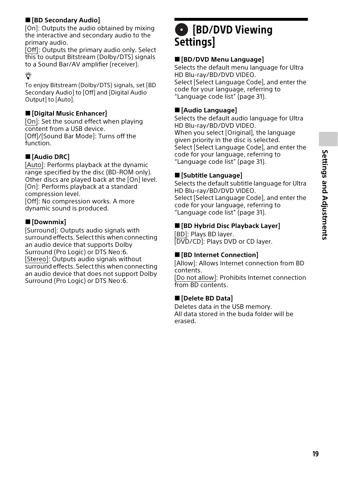# <span id="page-18-3"></span>**[BD Secondary Audio]**

[On]: Outputs the audio obtained by mixing the interactive and secondary audio to the primary audio.

[Off]: Outputs the primary audio only. Select this to output Bitstream (Dolby/DTS) signals to a Sound Bar/AV amplifier (receiver).

# ٛڽ

To enjoy Bitstream (Dolby/DTS) signals, set [BD Secondary Audio] to [Off] and [Digital Audio Output] to [Auto].

# **[Digital Music Enhancer]**

[On]: Set the sound effect when playing content from a USB device. [Off]/[Sound Bar Mode]: Turns off the function.

# **[Audio DRC]**

[Auto]: Performs playback at the dynamic range specified by the disc (BD-ROM only). Other discs are played back at the [On] level. [On]: Performs playback at a standard compression level.

[Off]: No compression works. A more dynamic sound is produced.

# **[Downmix]**

[Surround]: Outputs audio signals with surround effects. Select this when connecting an audio device that supports Dolby Surround (Pro Logic) or DTS Neo:6. [Stereo]: Outputs audio signals without surround effects. Select this when connecting an audio device that does not support Dolby Surround (Pro Logic) or DTS Neo:6.

# <span id="page-18-4"></span><span id="page-18-0"></span>**C** [BD/DVD Viewing **Settings]**

# **[BD/DVD Menu Language]**

Selects the default menu language for Ultra HD Blu-ray/BD/DVD VIDEO. Select [Select Language Code], and enter the code for your language, referring to ["Language code list"](#page-30-1) (page [31](#page-30-1)).

# <span id="page-18-1"></span>**[Audio Language]**

Selects the default audio language for Ultra HD Blu-ray/BD/DVD VIDEO. When you select [Original], the language given priority in the disc is selected. Select [Select Language Code], and enter the code for your language, referring to ["Language code list"](#page-30-1) (page [31](#page-30-1)).

### <span id="page-18-2"></span>**[Subtitle Language]**

Selects the default subtitle language for Ultra HD Blu-ray/BD/DVD VIDEO. Select [Select Language Code], and enter the code for your language, referring to ["Language code list"](#page-30-1) (page [31](#page-30-1)).

### **[BD Hybrid Disc Playback Layer]**

[BD]: Plays BD layer. [DVD/CD]: Plays DVD or CD layer.

### **[BD Internet Connection]**

[Allow]: Allows Internet connection from BD contents.

[Do not allow]: Prohibits Internet connection from BD contents.

### **[Delete BD Data]**

Deletes data in the USB memory. All data stored in the buda folder will be erased.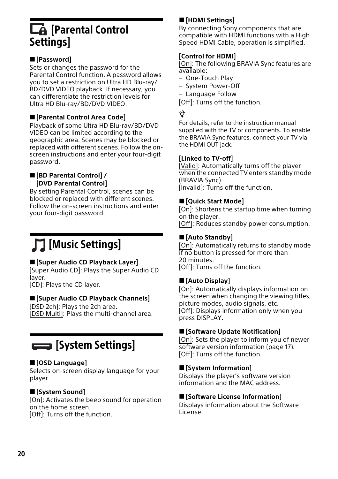# <span id="page-19-0"></span>**LA** [Parental Control **Settings**

# **[Password]**

Sets or changes the password for the Parental Control function. A password allows you to set a restriction on Ultra HD Blu-ray/ BD/DVD VIDEO playback. If necessary, you can differentiate the restriction levels for Ultra HD Blu-ray/BD/DVD VIDEO.

# <span id="page-19-4"></span>**[Parental Control Area Code]**

Playback of some Ultra HD Blu-ray/BD/DVD VIDEO can be limited according to the geographic area. Scenes may be blocked or replaced with different scenes. Follow the onscreen instructions and enter your four-digit password.

#### **[BD Parental Control] / [DVD Parental Control]**

By setting Parental Control, scenes can be blocked or replaced with different scenes. Follow the on-screen instructions and enter your four-digit password.

# <span id="page-19-1"></span>[Music Settings]

# **[Super Audio CD Playback Layer]**

[Super Audio CD]: Plays the Super Audio CD laver.

[CD]: Plays the CD layer.

# **[Super Audio CD Playback Channels]**

[DSD 2ch]: Plays the 2ch area. [DSD Multi]: Plays the multi-channel area.

# <span id="page-19-2"></span>[System Settings]

# **[OSD Language]**

Selects on-screen display language for your player.

# **[System Sound]**

[On]: Activates the beep sound for operation on the home screen. [Off]: Turns off the function.

# **[HDMI Settings]**

By connecting Sony components that are compatible with HDMI functions with a High Speed HDMI Cable, operation is simplified.

### <span id="page-19-3"></span>**[Control for HDMI]**

[On]: The following BRAVIA Sync features are available:

- One-Touch Play
- System Power-Off
- Language Follow

[Off]: Turns off the function.

# Ϋ

For details, refer to the instruction manual supplied with the TV or components. To enable the BRAVIA Sync features, connect your TV via the HDMI OUT jack.

#### **[Linked to TV-off]**

[Valid]: Automatically turns off the player when the connected TV enters standby mode (BRAVIA Sync). [Invalid]: Turns off the function.

### **[Quick Start Mode]**

[On]: Shortens the startup time when turning on the player. [Off]: Reduces standby power consumption.

# **[Auto Standby]**

[On]: Automatically returns to standby mode if no button is pressed for more than 20 minutes. [Off]: Turns off the function.

### **[Auto Display]**

[On]: Automatically displays information on the screen when changing the viewing titles, picture modes, audio signals, etc. [Off]: Displays information only when you press DISPLAY.

### **[Software Update Notification]**

[On]: Sets the player to inform you of newer software version information (page [17\)](#page-16-3). [Off]: Turns off the function.

### **[System Information]**

Displays the player's software version information and the MAC address.

#### **[Software License Information]**

Displays information about the Software License.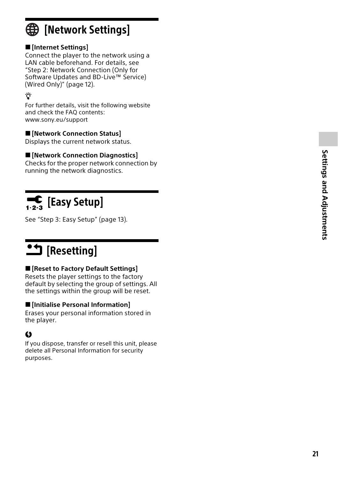# <span id="page-20-3"></span><span id="page-20-0"></span>**ED** [Network Settings]

# **[Internet Settings]**

Connect the player to the network using a LAN cable beforehand. For details, see "[Step 2: Network Connection \(Only for](#page-11-1)  [Software Updates and BD-Live™ Service\)](#page-11-1)  [\(Wired Only\)](#page-11-1)" (page [12](#page-11-1)).

# ٣Ö

For further details, visit the following website and check the FAQ contents: www.sony.eu/support

# **[Network Connection Status]**

Displays the current network status.

# **[Network Connection Diagnostics]**

Checks for the proper network connection by running the network diagnostics.

# <span id="page-20-1"></span> $\begin{bmatrix} \begin{bmatrix} \mathbf{c} \\ \mathbf{c} \end{bmatrix} \end{bmatrix}$  [Easy Setup]

See ["Step 3: Easy Setup"](#page-12-2) (page [13](#page-12-2)).

# <span id="page-20-2"></span> $\overline{\mathbf{B}}$  [Resetting]

# **[Reset to Factory Default Settings]**

Resets the player settings to the factory default by selecting the group of settings. All the settings within the group will be reset.

# **[Initialise Personal Information]**

Erases your personal information stored in the player.

# $\mathbf{G}$

If you dispose, transfer or resell this unit, please delete all Personal Information for security purposes.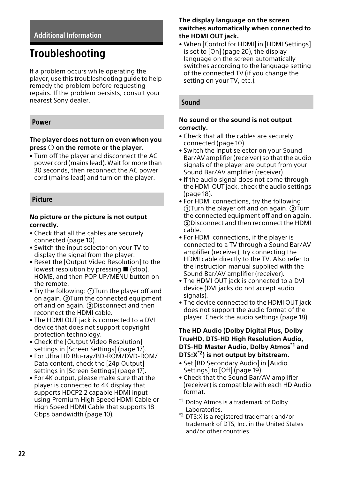### <span id="page-21-6"></span><span id="page-21-1"></span><span id="page-21-0"></span>Additional Information

# <span id="page-21-2"></span>Troubleshooting

If a problem occurs while operating the player, use this troubleshooting guide to help remedy the problem before requesting repairs. If the problem persists, consult your nearest Sony dealer.

#### <span id="page-21-3"></span>Power

#### **The player does not turn on even when you**  press  $\bigcirc$  on the remote or the player.

• Turn off the player and disconnect the AC power cord (mains lead). Wait for more than 30 seconds, then reconnect the AC power cord (mains lead) and turn on the player.

#### <span id="page-21-4"></span>Picture

#### **No picture or the picture is not output correctly.**

- Check that all the cables are securely connected (page [10\)](#page-9-2).
- Switch the input selector on your TV to display the signal from the player.
- Reset the [Output Video Resolution] to the lowest resolution by pressing  $\blacksquare$  (stop), HOME, and then POP UP/MENU button on the remote.
- Try the following: (1) Turn the player off and on again.  $(2)$ Turn the connected equipment off and on again. 3Disconnect and then reconnect the HDMI cable.
- The HDMI OUT jack is connected to a DVI device that does not support copyright protection technology.
- Check the [Output Video Resolution] settings in [Screen Settings] (page [17](#page-16-5)).
- For Ultra HD Blu-ray/BD-ROM/DVD-ROM/ Data content, check the [24p Output] settings in [Screen Settings] (page [17](#page-16-6)).
- For 4K output, please make sure that the player is connected to 4K display that supports HDCP2.2 capable HDMI input using Premium High Speed HDMI Cable or High Speed HDMI Cable that supports 18 Gbps bandwidth (page [10\)](#page-9-2).

#### **The display language on the screen switches automatically when connected to the HDMI OUT jack.**

• When [Control for HDMI] in [HDMI Settings] is set to [On] (page [20](#page-19-3)), the display language on the screen automatically switches according to the language setting of the connected TV (if you change the setting on your TV, etc.).

#### <span id="page-21-5"></span>Sound

#### **No sound or the sound is not output correctly.**

- Check that all the cables are securely connected (page [10\)](#page-9-2).
- Switch the input selector on your Sound Bar/AV amplifier (receiver) so that the audio signals of the player are output from your Sound Bar/AV amplifier (receiver).
- If the audio signal does not come through the HDMI OUT jack, check the audio settings (page [18](#page-17-2)).
- For HDMI connections, try the following:  $(1)$ Turn the player off and on again.  $(2)$ Turn the connected equipment off and on again. Disconnect and then reconnect the HDMI cable.
- For HDMI connections, if the player is connected to a TV through a Sound Bar/AV amplifier (receiver), try connecting the HDMI cable directly to the TV. Also refer to the instruction manual supplied with the Sound Bar/AV amplifier (receiver).
- The HDMI OUT jack is connected to a DVI device (DVI jacks do not accept audio signals).
- The device connected to the HDMI OUT jack does not support the audio format of the player. Check the audio settings (page [18](#page-17-2)).

#### **The HD Audio (Dolby Digital Plus, Dolby TrueHD, DTS-HD High Resolution Audio, DTS-HD Master Audio, Dolby Atmos\*1 and DTS:X\*2) is not output by bitstream.**

- Set [BD Secondary Audio] in [Audio Settings] to [Off] (page [19\)](#page-18-3).
- Check that the Sound Bar/AV amplifier (receiver) is compatible with each HD Audio format.
- \*1 Dolby Atmos is a trademark of Dolby
- Laboratories. \*2 DTS:X is a registered trademark and/or trademark of DTS, Inc. in the United States and/or other countries.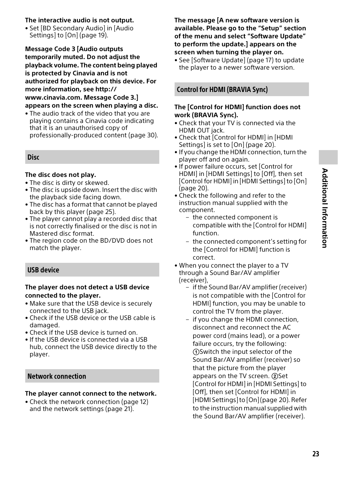#### **The interactive audio is not output.**

• Set [BD Secondary Audio] in [Audio Settings] to [On] (page [19](#page-18-3)).

**Message Code 3 [Audio outputs temporarily muted. Do not adjust the playback volume. The content being played is protected by Cinavia and is not authorized for playback on this device. For more information, see http:// www.cinavia.com. Message Code 3.] appears on the screen when playing a disc.**

• The audio track of the video that you are playing contains a Cinavia code indicating that it is an unauthorised copy of professionally-produced content (page [30](#page-29-0)).

#### <span id="page-22-0"></span>**Disc**

#### **The disc does not play.**

- The disc is dirty or skewed.
- The disc is upside down. Insert the disc with the playback side facing down.
- The disc has a format that cannot be played back by this player (page [25\)](#page-24-2).
- The player cannot play a recorded disc that is not correctly finalised or the disc is not in Mastered disc format.
- The region code on the BD/DVD does not match the player.

#### <span id="page-22-1"></span>USB device

#### **The player does not detect a USB device connected to the player.**

- Make sure that the USB device is securely connected to the USB jack.
- Check if the USB device or the USB cable is damaged.
- Check if the USB device is turned on.
- If the USB device is connected via a USB hub, connect the USB device directly to the player.

# <span id="page-22-2"></span>Network connection

#### **The player cannot connect to the network.**

• Check the network connection (page [12\)](#page-11-1) and the network settings (page [21\)](#page-20-3).

**The message [A new software version is available. Please go to the "Setup" section of the menu and select "Software Update" to perform the update.] appears on the screen when turning the player on.**

• See [\[Software Update\]](#page-16-7) (page [17](#page-16-7)) to update the player to a newer software version.

## <span id="page-22-3"></span>Control for HDMI (BRAVIA Sync)

#### **The [Control for HDMI] function does not work (BRAVIA Sync).**

- Check that your TV is connected via the HDMI OUT jack.
- Check that [Control for HDMI] in [HDMI Settings] is set to [On] (page [20](#page-19-3)).
- If you change the HDMI connection, turn the player off and on again.
- If power failure occurs, set [Control for HDMI] in [HDMI Settings] to [Off], then set [Control for HDMI] in [HDMI Settings] to [On] (page [20\)](#page-19-3).
- Check the following and refer to the instruction manual supplied with the component.
	- the connected component is compatible with the [Control for HDMI] function.
	- the connected component's setting for the [Control for HDMI] function is correct.
- When you connect the player to a TV through a Sound Bar/AV amplifier (receiver),
	- if the Sound Bar/AV amplifier (receiver) is not compatible with the [Control for HDMI] function, you may be unable to control the TV from the player.
	- if you change the HDMI connection, disconnect and reconnect the AC power cord (mains lead), or a power failure occurs, try the following: Switch the input selector of the Sound Bar/AV amplifier (receiver) so that the picture from the player appears on the TV screen. (2) Set [Control for HDMI] in [HDMI Settings] to [Off], then set [Control for HDMI] in [HDMI Settings] to [On] (page [20\)](#page-19-3). Refer to the instruction manual supplied with the Sound Bar/AV amplifier (receiver).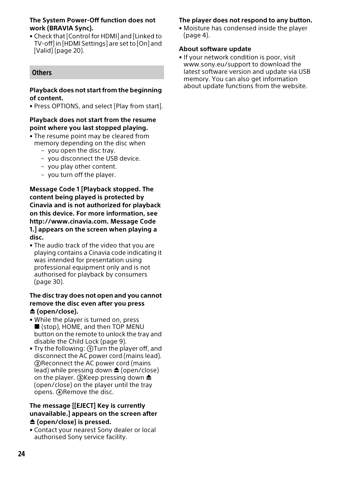#### **The System Power-Off function does not work (BRAVIA Sync).**

• Check that [Control for HDMI] and [Linked to TV-off] in [HDMI Settings] are set to [On] and [Valid] (page [20](#page-19-3)).

## <span id="page-23-0"></span>**Others**

#### **Playback does not start from the beginning of content.**

• Press OPTIONS, and select [Play from start].

#### **Playback does not start from the resume point where you last stopped playing.**

- The resume point may be cleared from memory depending on the disc when
	- you open the disc tray.
	- you disconnect the USB device.
	- you play other content.
	- you turn off the player.

**Message Code 1 [Playback stopped. The content being played is protected by Cinavia and is not authorized for playback on this device. For more information, see http://www.cinavia.com. Message Code 1.] appears on the screen when playing a disc.**

• The audio track of the video that you are playing contains a Cinavia code indicating it was intended for presentation using professional equipment only and is not authorised for playback by consumers (page [30\)](#page-29-0).

#### **The disc tray does not open and you cannot remove the disc even after you press (open/close).**

- While the player is turned on, press ■ (stop), HOME, and then TOP MENU button on the remote to unlock the tray and disable the Child Lock (page [9\)](#page-8-1).
- Try the following: 1) Turn the player off, and disconnect the AC power cord (mains lead). Reconnect the AC power cord (mains lead) while pressing down  $\triangle$  (open/close) on the player. **(3)** Keep pressing down  $\triangleq$ (open/close) on the player until the tray opens. **A** Remove the disc.

#### **The message [[EJECT] Key is currently unavailable.] appears on the screen after (open/close) is pressed.**

• Contact your nearest Sony dealer or local authorised Sony service facility.

### **The player does not respond to any button.**

• Moisture has condensed inside the player  $(n \cdot 4)$  $(n \cdot 4)$  $(n \cdot 4)$ .

#### **About software update**

• If your network condition is poor, visit www.sony.eu/support to download the latest software version and update via USB memory. You can also get information about update functions from the website.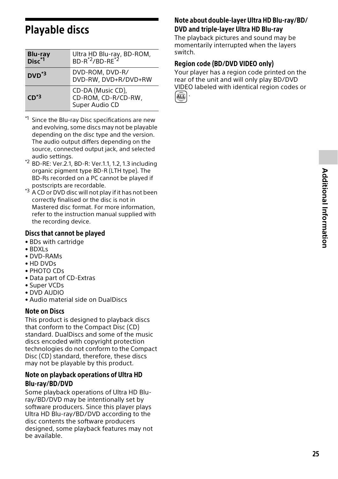# <span id="page-24-1"></span><span id="page-24-0"></span>Playable discs

| Blu-ray<br>Disc <sup>*1</sup> | Ultra HD Blu-ray, BD-ROM,<br>BD-R <sup>*2</sup> /BD-RE <sup>*2</sup> |
|-------------------------------|----------------------------------------------------------------------|
| $DVD^*$ <sup>3</sup>          | DVD-ROM, DVD-R/<br>DVD-RW, DVD+R/DVD+RW                              |
| $CD*3$                        | CD-DA (Music CD),<br>CD-ROM, CD-R/CD-RW,<br>Super Audio CD           |

- Since the Blu-ray Disc specifications are new and evolving, some discs may not be playable depending on the disc type and the version. The audio output differs depending on the source, connected output jack, and selected audio settings.<br><sup>\*2</sup> BD-RE: Ver.2.1, BD-R: Ver.1.1, 1.2, 1.3 including
- organic pigment type BD-R (LTH type). The BD-Rs recorded on a PC cannot be played if
- postscripts are recordable.<br> $*3$  A CD or DVD disc will not play if it has not been correctly finalised or the disc is not in Mastered disc format. For more information, refer to the instruction manual supplied with the recording device.

## <span id="page-24-2"></span>Discs that cannot be played

- BDs with cartridge
- BDXLs
- DVD-RAMs
- HD DVDs
- PHOTO CDs
- Data part of CD-Extras
- Super VCDs
- DVD AUDIO
- Audio material side on DualDiscs

### Note on Discs

This product is designed to playback discs that conform to the Compact Disc (CD) standard. DualDiscs and some of the music discs encoded with copyright protection technologies do not conform to the Compact Disc (CD) standard, therefore, these discs may not be playable by this product.

## Note on playback operations of Ultra HD Blu-ray/BD/DVD

Some playback operations of Ultra HD Bluray/BD/DVD may be intentionally set by software producers. Since this player plays Ultra HD Blu-ray/BD/DVD according to the disc contents the software producers designed, some playback features may not be available.

# Note about double-layer Ultra HD Blu-ray/BD/ DVD and triple-layer Ultra HD Blu-ray

The playback pictures and sound may be momentarily interrupted when the layers switch.

# Region code (BD/DVD VIDEO only)

Your player has a region code printed on the rear of the unit and will only play BD/DVD VIDEO labeled with identical region codes or .

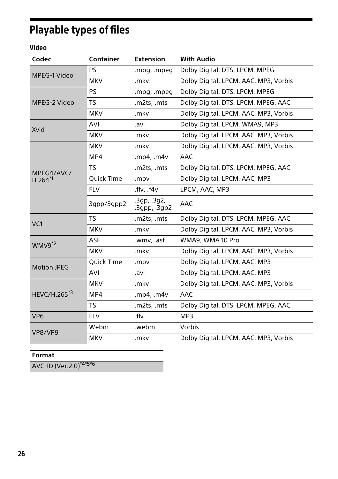# <span id="page-25-1"></span><span id="page-25-0"></span>Playable types of files

# Video

| Codec                    | Container  | <b>Extension</b>          | <b>With Audio</b>                     |
|--------------------------|------------|---------------------------|---------------------------------------|
| MPEG-1 Video             | PS         | .mpg, .mpeg               | Dolby Digital, DTS, LPCM, MPEG        |
|                          | <b>MKV</b> | .mkv                      | Dolby Digital, LPCM, AAC, MP3, Vorbis |
|                          | <b>PS</b>  | .mpg, .mpeg               | Dolby Digital, DTS, LPCM, MPEG        |
| MPEG-2 Video             | <b>TS</b>  | .m2ts, .mts               | Dolby Digital, DTS, LPCM, MPEG, AAC   |
|                          | <b>MKV</b> | .mkv                      | Dolby Digital, LPCM, AAC, MP3, Vorbis |
| Xvid                     | AVI        | .avi                      | Dolby Digital, LPCM, WMA9, MP3        |
|                          | <b>MKV</b> | .mkv                      | Dolby Digital, LPCM, AAC, MP3, Vorbis |
|                          | <b>MKV</b> | .mkv                      | Dolby Digital, LPCM, AAC, MP3, Vorbis |
|                          | MP4        | $mp4$ , $m4v$             | AAC                                   |
| MPEG4/AVC/<br>$H.264*1$  | <b>TS</b>  | .m2ts, .mts               | Dolby Digital, DTS, LPCM, MPEG, AAC   |
|                          | Quick Time | .mov                      | Dolby Digital, LPCM, AAC, MP3         |
|                          | <b>FLV</b> | $f v$ , $f4v$             | LPCM, AAC, MP3                        |
|                          | 3qpp/3qpp2 | 3gp, 3g2,<br>.3gpp, .3gp2 | <b>AAC</b>                            |
| VC <sub>1</sub>          | <b>TS</b>  | .m2ts, .mts               | Dolby Digital, DTS, LPCM, MPEG, AAC   |
|                          | <b>MKV</b> | .mkv                      | Dolby Digital, LPCM, AAC, MP3, Vorbis |
| $WWV9*2$                 | <b>ASF</b> | .wmv, .asf                | WMA9, WMA 10 Pro                      |
|                          | <b>MKV</b> | .mkv                      | Dolby Digital, LPCM, AAC, MP3, Vorbis |
| <b>Motion JPEG</b>       | Quick Time | .mov                      | Dolby Digital, LPCM, AAC, MP3         |
|                          | <b>AVI</b> | .avi                      | Dolby Digital, LPCM, AAC, MP3         |
| HEVC/H.265 <sup>*3</sup> | <b>MKV</b> | .mkv                      | Dolby Digital, LPCM, AAC, MP3, Vorbis |
|                          | MP4        | .mp4, $.m4v$              | AAC                                   |
|                          | <b>TS</b>  | .m2ts, .mts               | Dolby Digital, DTS, LPCM, MPEG, AAC   |
| VP <sub>6</sub>          | <b>FLV</b> | .flv                      | MP3                                   |
| VP8/VP9                  | Webm       | .webm                     | Vorbis                                |
|                          | <b>MKV</b> | .mkv                      | Dolby Digital, LPCM, AAC, MP3, Vorbis |

# **Format**

AVCHD (Ver.2.0)\*4\*5\*6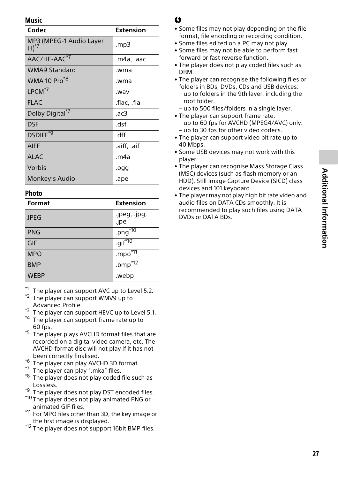### Music

| Codec                               | <b>Extension</b> |
|-------------------------------------|------------------|
| MP3 (MPEG-1 Audio Layer<br>$III)^*$ | mp3.             |
| AAC/HE-AAC <sup>*7</sup>            | .m4a, .aac       |
| <b>WMA9 Standard</b>                | .wma             |
| WMA 10 Pro <sup>*8</sup>            | .wma             |
| $LPCM*7$                            | .wav             |
| <b>FLAC</b>                         | .flac, .fla      |
| Dolby Digital*7                     | .ac3             |
| DSF                                 | dsf              |
| DSDIFF <sup>*9</sup>                | dff              |
| <b>AIFF</b>                         | .aiff, .aif      |
| <b>ALAC</b>                         | .m4a             |
| Vorbis                              | .ogg             |
| Monkey's Audio                      | .ape             |

### **Photo**

| Format      | <b>Extension</b>       |
|-------------|------------------------|
| <b>JPEG</b> | .jpeg, .jpg,<br>.jpe   |
| <b>PNG</b>  | .png $\overline{50}$   |
| GIF         | $.$ gif <sup>*10</sup> |
| <b>MPO</b>  | .mpo <sup>*11</sup>    |
| <b>BMP</b>  | .bmp $\overline{12}$   |
| <b>WEBP</b> | .webp                  |

 $*1$  The player can support AVC up to Level 5.2.<br> $*2$  The player can support WMV9 up to

- 
- Advanced Profile.<br> $^{*3}$  The player can support HEVC up to Level 5.1.  $^{*4}$  The player can support frame rate up to
- 
- 60 fps.<br> $*5$  The player plays AVCHD format files that are recorded on a digital video camera, etc. The AVCHD format disc will not play if it has not been correctly finalised. \*6<br>\*6 The player can play AVCHD 3D format.<br>\*7 The player can play ".mka" files. \*8 The player does not play coded file such as
- 
- 
- 
- Lossless.<br><sup>\*9</sup> The player does not play DST encoded files.<br><sup>\*10</sup> The player does not play animated PNG or
- 
- animated GIF files.<br>\*<sup>11</sup> For MPO files other than 3D, the key image or
- the first image is displayed.<br>\*12 The player does not support 16bit BMP files.

# $\mathbf{r}$

- Some files may not play depending on the file format, file encoding or recording condition.
- Some files edited on a PC may not play.
- Some files may not be able to perform fast forward or fast reverse function.
- The player does not play coded files such as DRM.
- The player can recognise the following files or folders in BDs, DVDs, CDs and USB devices:
	- up to folders in the 9th layer, including the root folder.
	- up to 500 files/folders in a single layer.
- The player can support frame rate:
- up to 60 fps for AVCHD (MPEG4/AVC) only. – up to 30 fps for other video codecs.
- The player can support video bit rate up to 40 Mbps.
- Some USB devices may not work with this player.
- The player can recognise Mass Storage Class (MSC) devices (such as flash memory or an HDD), Still Image Capture Device (SICD) class devices and 101 keyboard.
- The player may not play high bit rate video and audio files on DATA CDs smoothly. It is recommended to play such files using DATA DVDs or DATA BDs.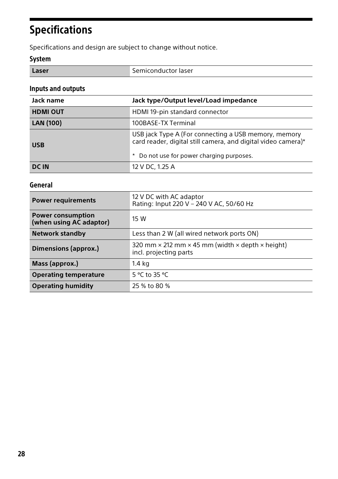# <span id="page-27-0"></span>Specifications

Specifications and design are subject to change without notice.

# System

| Laser | Semiconductor laser |
|-------|---------------------|

# Inputs and outputs

| Jack name        | Jack type/Output level/Load impedance                                                                                                                              |  |
|------------------|--------------------------------------------------------------------------------------------------------------------------------------------------------------------|--|
| <b>HDMI OUT</b>  | HDMI 19-pin standard connector                                                                                                                                     |  |
| <b>LAN (100)</b> | 100BASE-TX Terminal                                                                                                                                                |  |
| <b>USB</b>       | USB jack Type A (For connecting a USB memory, memory<br>card reader, digital still camera, and digital video camera)*<br>* Do not use for power charging purposes. |  |
| <b>DC IN</b>     | 12 V DC. 1.25 A                                                                                                                                                    |  |

# General

| <b>Power requirements</b>                           | 12 V DC with AC adaptor<br>Rating: Input 220 V - 240 V AC, 50/60 Hz                                    |
|-----------------------------------------------------|--------------------------------------------------------------------------------------------------------|
| <b>Power consumption</b><br>(when using AC adaptor) | 15 W                                                                                                   |
| <b>Network standby</b>                              | Less than 2 W (all wired network ports ON)                                                             |
| Dimensions (approx.)                                | 320 mm $\times$ 212 mm $\times$ 45 mm (width $\times$ depth $\times$ height)<br>incl. projecting parts |
| Mass (approx.)                                      | 1.4 kg                                                                                                 |
| <b>Operating temperature</b>                        | 5 °C to 35 °C                                                                                          |
| <b>Operating humidity</b>                           | 25 % to 80 %                                                                                           |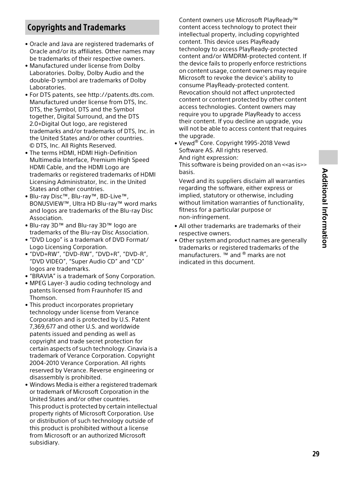# <span id="page-28-0"></span>Copyrights and Trademarks

- Oracle and Java are registered trademarks of Oracle and/or its affiliates. Other names may be trademarks of their respective owners.
- Manufactured under license from Dolby Laboratories. Dolby, Dolby Audio and the double-D symbol are trademarks of Dolby Laboratories.
- For DTS patents, see http://patents.dts.com. Manufactured under license from DTS, Inc. DTS, the Symbol, DTS and the Symbol together, Digital Surround, and the DTS 2.0+Digital Out logo, are registered trademarks and/or trademarks of DTS, Inc. in the United States and/or other countries. © DTS, Inc. All Rights Reserved.
- The terms HDMI, HDMI High-Definition Multimedia Interface, Premium High Speed HDMI Cable, and the HDMI Logo are trademarks or registered trademarks of HDMI Licensing Administrator, Inc. in the United States and other countries.
- Blu-ray Disc™, Blu-ray™, BD-Live™, BONUSVIEW™, Ultra HD Blu-ray™ word marks and logos are trademarks of the Blu-ray Disc Association.
- Blu-ray 3D™ and Blu-ray 3D™ logo are trademarks of the Blu-ray Disc Association.
- "DVD Logo" is a trademark of DVD Format/ Logo Licensing Corporation.
- "DVD+RW", "DVD-RW", "DVD+R", "DVD-R", "DVD VIDEO", "Super Audio CD" and "CD" logos are trademarks.
- "BRAVIA" is a trademark of Sony Corporation.
- MPEG Layer-3 audio coding technology and patents licensed from Fraunhofer IIS and Thomson.
- This product incorporates proprietary technology under license from Verance Corporation and is protected by U.S. Patent 7,369,677 and other U.S. and worldwide patents issued and pending as well as copyright and trade secret protection for certain aspects of such technology. Cinavia is a trademark of Verance Corporation. Copyright 2004-2010 Verance Corporation. All rights reserved by Verance. Reverse engineering or disassembly is prohibited.
- Windows Media is either a registered trademark or trademark of Microsoft Corporation in the United States and/or other countries. This product is protected by certain intellectual property rights of Microsoft Corporation. Use or distribution of such technology outside of this product is prohibited without a license from Microsoft or an authorized Microsoft subsidiary.

Content owners use Microsoft PlayReady™ content access technology to protect their intellectual property, including copyrighted content. This device uses PlayReady technology to access PlayReady-protected content and/or WMDRM-protected content. If the device fails to properly enforce restrictions on content usage, content owners may require Microsoft to revoke the device's ability to consume PlayReady-protected content. Revocation should not affect unprotected content or content protected by other content access technologies. Content owners may require you to upgrade PlayReady to access their content. If you decline an upgrade, you will not be able to access content that requires the upgrade.

• Vewd® Core. Copyright 1995-2018 Vewd Software AS. All rights reserved. And right expression:

This software is being provided on an <<as is>> basis.

Vewd and its suppliers disclaim all warranties regarding the software, either express or implied, statutory or otherwise, including without limitation warranties of functionality, fitness for a particular purpose or non-infringement

- All other trademarks are trademarks of their respective owners.
- Other system and product names are generally trademarks or registered trademarks of the manufacturers. ™ and ® marks are not indicated in this document.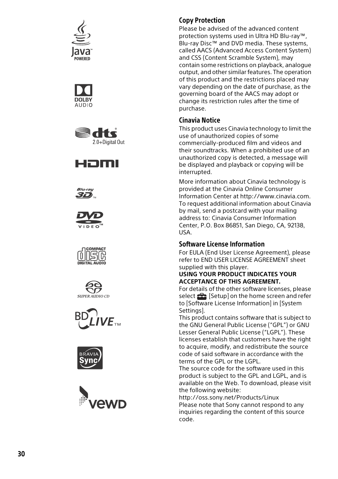





















### Copy Protection

Please be advised of the advanced content protection systems used in Ultra HD Blu-ray™, Blu-ray Disc™ and DVD media. These systems, called AACS (Advanced Access Content System) and CSS (Content Scramble System), may contain some restrictions on playback, analogue output, and other similar features. The operation of this product and the restrictions placed may vary depending on the date of purchase, as the governing board of the AACS may adopt or change its restriction rules after the time of purchase.

### <span id="page-29-0"></span>Cinavia Notice

This product uses Cinavia technology to limit the use of unauthorized copies of some commercially-produced film and videos and their soundtracks. When a prohibited use of an unauthorized copy is detected, a message will be displayed and playback or copying will be interrupted.

More information about Cinavia technology is provided at the Cinavia Online Consumer Information Center at http://www.cinavia.com. To request additional information about Cinavia by mail, send a postcard with your mailing address to: Cinavia Consumer Information Center, P.O. Box 86851, San Diego, CA, 92138, USA.

#### Software License Information

For EULA (End User License Agreement), please refer to END USER LICENSE AGREEMENT sheet supplied with this player.

#### **USING YOUR PRODUCT INDICATES YOUR ACCEPTANCE OF THIS AGREEMENT.**

For details of the other software licenses, please select  $\mathbf{S}$  [Setup] on the home screen and refer to [Software License Information] in [System Settings].

This product contains software that is subject to the GNU General Public License ("GPL") or GNU Lesser General Public License ("LGPL"). These licenses establish that customers have the right to acquire, modify, and redistribute the source code of said software in accordance with the terms of the GPL or the LGPL.

The source code for the software used in this product is subject to the GPL and LGPL, and is available on the Web. To download, please visit the following website:

http://oss.sony.net/Products/Linux Please note that Sony cannot respond to any inquiries regarding the content of this source code.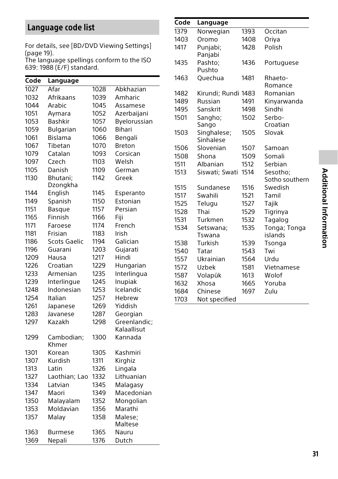# <span id="page-30-1"></span><span id="page-30-0"></span>Language code list

For details, see [\[BD/DVD Viewing Settings\]](#page-18-4)  (page [19](#page-18-4)).

The language spellings conform to the ISO 639: 1988 (E/F) standard.

| Code | Language         |      |               |
|------|------------------|------|---------------|
| 1027 | Afar             | 1028 | Abkhazian     |
| 1032 | Afrikaans        | 1039 | Amharic       |
| 1044 | Arabic           | 1045 | Assamese      |
| 1051 | Aymara           | 1052 | Azerbaijani   |
| 1053 | <b>Bashkir</b>   | 1057 | Byelorussian  |
| 1059 | <b>Bulgarian</b> | 1060 | Bihari        |
| 1061 | Bislama          | 1066 | Bengali       |
| 1067 | Tibetan          | 1070 | <b>Breton</b> |
| 1079 | Catalan          | 1093 | Corsican      |
| 1097 | Czech            | 1103 | Welsh         |
| 1105 | Danish           | 1109 | German        |
| 1130 | Bhutani:         | 1142 | Greek         |
|      | Dzongkha         |      |               |
| 1144 | English          | 1145 | Esperanto     |
| 1149 | Spanish          | 1150 | Estonian      |
| 1151 | <b>Basque</b>    | 1157 | Persian       |
| 1165 | Finnish          | 1166 | Fiji          |
| 1171 | Faroese          | 1174 | French        |
| 1181 | Frisian          | 1183 | Irish         |
| 1186 | Scots Gaelic     | 1194 | Galician      |
| 1196 | Guarani          | 1203 | Gujarati      |
| 1209 | Hausa            | 1217 | Hindi         |
| 1226 | Croatian         | 1229 | Hungarian     |
| 1233 | Armenian         | 1235 | Interlingua   |
| 1239 | Interlingue      | 1245 | Inupiak       |
| 1248 | Indonesian       | 1253 | Icelandic     |
| 1254 | Italian          | 1257 | Hebrew        |
| 1261 | Japanese         | 1269 | Yiddish       |
| 1283 | Javanese         | 1287 | Georgian      |
| 1297 | Kazakh           | 1298 | Greenlandic:  |
|      |                  |      | Kalaallisut   |
| 1299 | Cambodian;       | 1300 | Kannada       |
|      | Khmer            |      |               |
| 1301 | Korean           | 1305 | Kashmiri      |
| 1307 | Kurdish          | 1311 | Kirghiz       |
| 1313 | Latin            | 1326 | Lingala       |
| 1327 | Laothian; Lao    | 1332 | Lithuanian    |
| 1334 | Latvian          | 1345 | Malagasy      |
| 1347 | Maori            | 1349 | Macedonian    |
| 1350 | Malayalam        | 1352 | Mongolian     |
| 1353 | Moldavian        | 1356 | Marathi       |
| 1357 | Malay            | 1358 | Malese;       |
|      |                  |      | Maltese       |
| 1363 | Burmese          | 1365 | Nauru         |
| 1369 | Nepali           | 1376 | Dutch         |

#### **Code Language**

| 1379 | Norwegian                | 1393 | Occitan                 |
|------|--------------------------|------|-------------------------|
| 1403 | Oromo                    | 1408 | Oriya                   |
| 1417 | Punjabi;<br>Panjabi      | 1428 | Polish                  |
| 1435 | Pashto;<br>Pushto        | 1436 | Portuguese              |
| 1463 | Quechua                  | 1481 | Rhaeto-<br>Romance      |
| 1482 | Kirundi; Rundi 1483      |      | Romanian                |
| 1489 | Russian                  | 1491 | Kinyarwanda             |
| 1495 | Sanskrit                 | 1498 | Sindhi                  |
| 1501 | Sangho;<br>Sango         | 1502 | Serbo-<br>Croatian      |
| 1503 | Singhalese;<br>Sinhalese | 1505 | Slovak                  |
| 1506 | Slovenian                | 1507 | Samoan                  |
| 1508 | Shona                    | 1509 | Somali                  |
| 1511 | Albanian                 | 1512 | Serbian                 |
| 1513 | Siswati; Swati           | 1514 | Sesotho:                |
|      |                          |      | Sotho southern          |
| 1515 | Sundanese                | 1516 | Swedish                 |
| 1517 | Swahili                  | 1521 | Tamil                   |
| 1525 | Telugu                   | 1527 | Tajik                   |
| 1528 | Thai                     | 1529 | Tigrinya                |
| 1531 | Turkmen                  | 1532 | Tagalog                 |
| 1534 | Setswana;<br>Tswana      | 1535 | Tonga; Tonga<br>islands |
| 1538 | Turkish                  | 1539 | Tsonga                  |
| 1540 | Tatar                    | 1543 | Twi                     |
| 1557 | Ukrainian                | 1564 | Urdu                    |
| 1572 | Uzbek                    | 1581 | Vietnamese              |
| 1587 | Volapük                  | 1613 | Wolof                   |
| 1632 | Xhosa                    | 1665 | Yoruba                  |
| 1684 | Chinese                  | 1697 | Zulu                    |
| 1703 | Not specified            |      |                         |
|      |                          |      |                         |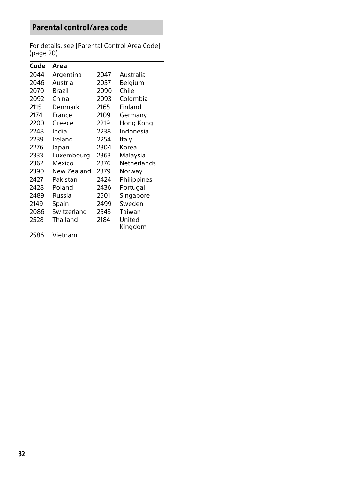# <span id="page-31-0"></span>Parental control/area code

For details, see [\[Parental Control Area Code\]](#page-19-4) (page [20](#page-19-4)).

| Code | Area        |      |             |
|------|-------------|------|-------------|
| 2044 | Argentina   | 2047 | Australia   |
| 2046 | Austria     | 2057 | Belgium     |
| 2070 | Brazil      | 2090 | Chile       |
| 2092 | China       | 2093 | Colombia    |
| 2115 | Denmark     | 2165 | Finland     |
| 2174 | France      | 2109 | Germany     |
| 2200 | Greece      | 2219 | Hong Kong   |
| 2248 | India       | 2238 | Indonesia   |
| 2239 | Ireland     | 2254 | Italy       |
| 2276 | Japan       | 2304 | Korea       |
| 2333 | Luxembourg  | 2363 | Malaysia    |
| 2362 | Mexico      | 2376 | Netherlands |
| 2390 | New Zealand | 2379 | Norway      |
| 2427 | Pakistan    | 2424 | Philippines |
| 2428 | Poland      | 2436 | Portugal    |
| 2489 | Russia      | 2501 | Singapore   |
| 2149 | Spain       | 2499 | Sweden      |
| 2086 | Switzerland | 2543 | Taiwan      |
| 2528 | Thailand    | 2184 | United      |
|      |             |      | Kingdom     |
| 2586 | Vietnam     |      |             |